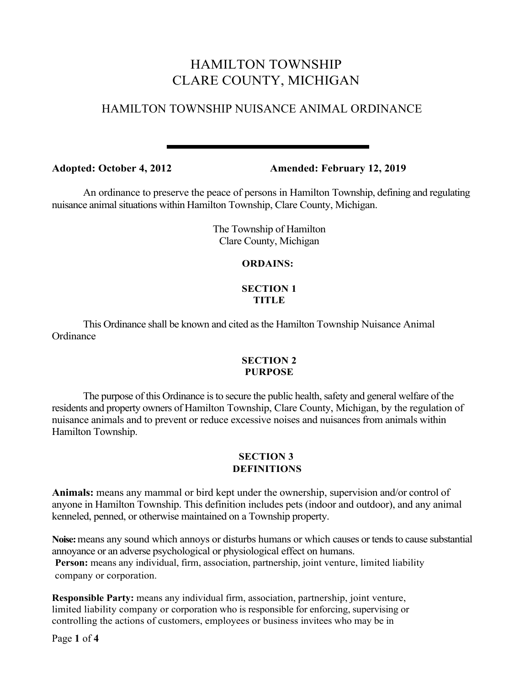# HAMILTON TOWNSHIP CLARE COUNTY, MICHIGAN

# HAMILTON TOWNSHIP NUISANCE ANIMAL ORDINANCE

**Adopted: October 4, 2012 Amended: February 12, 2019**

An ordinance to preserve the peace of persons in Hamilton Township, defining and regulating nuisance animal situations within Hamilton Township, Clare County, Michigan.

> The Township of Hamilton Clare County, Michigan

## **ORDAINS:**

#### **SECTION 1 TITLE**

This Ordinance shall be known and cited as the Hamilton Township Nuisance Animal **Ordinance** 

## **SECTION 2 PURPOSE**

The purpose of this Ordinance is to secure the public health, safety and general welfare of the residents and property owners of Hamilton Township, Clare County, Michigan, by the regulation of nuisance animals and to prevent or reduce excessive noises and nuisances from animals within Hamilton Township.

## **SECTION 3 DEFINITIONS**

**Animals:** means any mammal or bird kept under the ownership, supervision and/or control of anyone in Hamilton Township. This definition includes pets (indoor and outdoor), and any animal kenneled, penned, or otherwise maintained on a Township property.

**Noise:**means any sound which annoys or disturbs humans or which causes or tends to cause substantial annoyance or an adverse psychological or physiological effect on humans.

Person: means any individual, firm, association, partnership, joint venture, limited liability company or corporation.

**Responsible Party:** means any individual firm, association, partnership, joint venture, limited liability company or corporation who is responsible for enforcing, supervising or controlling the actions of customers, employees or business invitees who may be in

Page **1** of **4**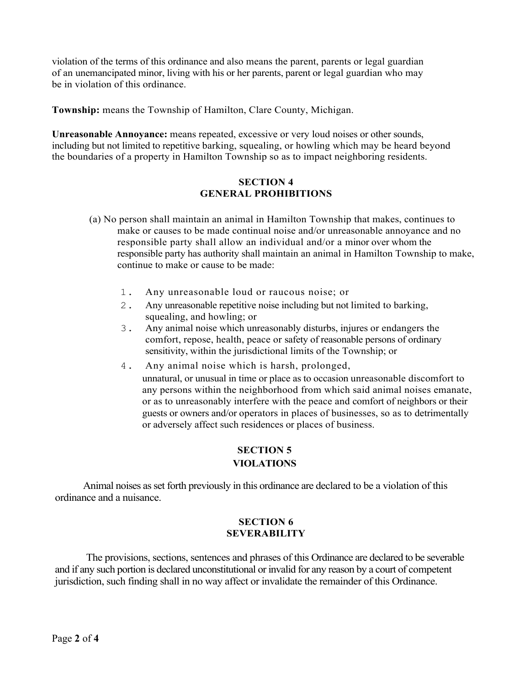violation of the terms of this ordinance and also means the parent, parents or legal guardian of an unemancipated minor, living with his or her parents, parent or legal guardian who may be in violation of this ordinance.

**Township:** means the Township of Hamilton, Clare County, Michigan.

**Unreasonable Annoyance:** means repeated, excessive or very loud noises or other sounds, including but not limited to repetitive barking, squealing, or howling which may be heard beyond the boundaries of a property in Hamilton Township so as to impact neighboring residents.

#### **SECTION 4 GENERAL PROHIBITIONS**

- (a) No person shall maintain an animal in Hamilton Township that makes, continues to make or causes to be made continual noise and/or unreasonable annoyance and no responsible party shall allow an individual and/or a minor over whom the responsible party has authority shall maintain an animal in Hamilton Township to make, continue to make or cause to be made:
	- 1. Any unreasonable loud or raucous noise; or
	- 2. Any unreasonable repetitive noise including but not limited to barking, squealing, and howling; or
	- 3. Any animal noise which unreasonably disturbs, injures or endangers the comfort, repose, health, peace or safety of reasonable persons of ordinary sensitivity, within the jurisdictional limits of the Township; or
	- 4. Any animal noise which is harsh, prolonged, unnatural, or unusual in time or place as to occasion unreasonable discomfort to any persons within the neighborhood from which said animal noises emanate, or as to unreasonably interfere with the peace and comfort of neighbors or their guests or owners and/or operators in places of businesses, so as to detrimentally or adversely affect such residences or places of business.

## **SECTION 5 VIOLATIONS**

Animal noises as set forth previously in this ordinance are declared to be a violation of this ordinance and a nuisance.

#### **SECTION 6 SEVERABILITY**

The provisions, sections, sentences and phrases of this Ordinance are declared to be severable and if any such portion is declared unconstitutional or invalid for any reason by a court of competent jurisdiction, such finding shall in no way affect or invalidate the remainder of this Ordinance.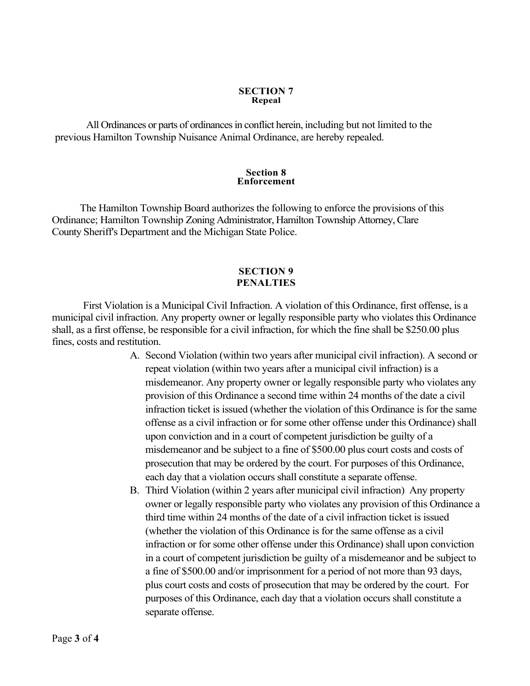#### **SECTION 7 Repeal**

All Ordinances or parts of ordinances in conflict herein, including but not limited to the previous Hamilton Township Nuisance Animal Ordinance, are hereby repealed.

#### **Section 8 Enforcement**

The Hamilton Township Board authorizes the following to enforce the provisions of this Ordinance; Hamilton Township Zoning Administrator, Hamilton Township Attorney, Clare County Sheriff's Department and the Michigan State Police.

#### **SECTION 9 PENALTIES**

First Violation is a Municipal Civil Infraction. A violation of this Ordinance, first offense, is a municipal civil infraction. Any property owner or legally responsible party who violates this Ordinance shall, as a first offense, be responsible for a civil infraction, for which the fine shall be \$250.00 plus fines, costs and restitution.

- A. Second Violation (within two years after municipal civil infraction). A second or repeat violation (within two years after a municipal civil infraction) is a misdemeanor. Any property owner or legally responsible party who violates any provision of this Ordinance a second time within 24 months of the date a civil infraction ticket is issued (whether the violation of this Ordinance is for the same offense as a civil infraction or for some other offense under this Ordinance) shall upon conviction and in a court of competent jurisdiction be guilty of a misdemeanor and be subject to a fine of \$500.00 plus court costs and costs of prosecution that may be ordered by the court. For purposes of this Ordinance, each day that a violation occurs shall constitute a separate offense.
- B. Third Violation (within 2 years after municipal civil infraction) Any property owner or legally responsible party who violates any provision of this Ordinance a third time within 24 months of the date of a civil infraction ticket is issued (whether the violation of this Ordinance is for the same offense as a civil infraction or for some other offense under this Ordinance) shall upon conviction in a court of competent jurisdiction be guilty of a misdemeanor and be subject to a fine of \$500.00 and/or imprisonment for a period of not more than 93 days, plus court costs and costs of prosecution that may be ordered by the court. For purposes of this Ordinance, each day that a violation occurs shall constitute a separate offense.